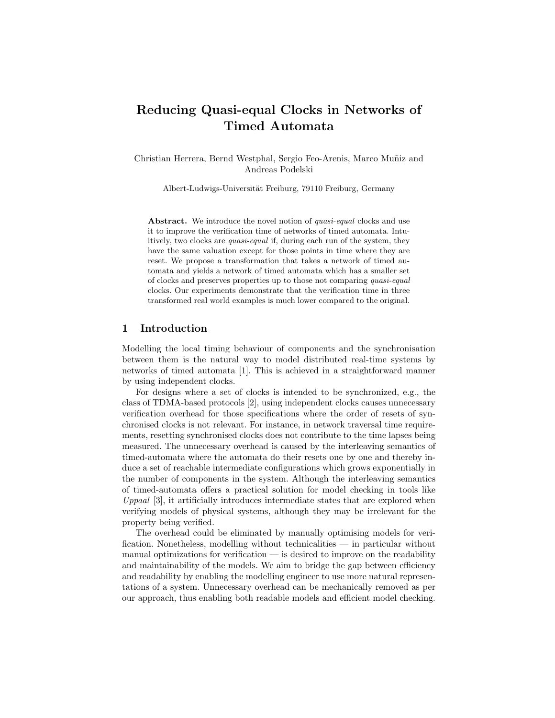# Reducing Quasi-equal Clocks in Networks of Timed Automata

Christian Herrera, Bernd Westphal, Sergio Feo-Arenis, Marco Muñiz and Andreas Podelski

Albert-Ludwigs-Universität Freiburg, 79110 Freiburg, Germany

Abstract. We introduce the novel notion of *quasi-equal* clocks and use it to improve the verification time of networks of timed automata. Intuitively, two clocks are *quasi-equal* if, during each run of the system, they have the same valuation except for those points in time where they are reset. We propose a transformation that takes a network of timed automata and yields a network of timed automata which has a smaller set of clocks and preserves properties up to those not comparing quasi-equal clocks. Our experiments demonstrate that the verification time in three transformed real world examples is much lower compared to the original.

# 1 Introduction

Modelling the local timing behaviour of components and the synchronisation between them is the natural way to model distributed real-time systems by networks of timed automata [1]. This is achieved in a straightforward manner by using independent clocks.

For designs where a set of clocks is intended to be synchronized, e.g., the class of TDMA-based protocols [2], using independent clocks causes unnecessary verification overhead for those specifications where the order of resets of synchronised clocks is not relevant. For instance, in network traversal time requirements, resetting synchronised clocks does not contribute to the time lapses being measured. The unnecessary overhead is caused by the interleaving semantics of timed-automata where the automata do their resets one by one and thereby induce a set of reachable intermediate configurations which grows exponentially in the number of components in the system. Although the interleaving semantics of timed-automata offers a practical solution for model checking in tools like Uppaal [3], it artificially introduces intermediate states that are explored when verifying models of physical systems, although they may be irrelevant for the property being verified.

The overhead could be eliminated by manually optimising models for verification. Nonetheless, modelling without technicalities — in particular without manual optimizations for verification — is desired to improve on the readability and maintainability of the models. We aim to bridge the gap between efficiency and readability by enabling the modelling engineer to use more natural representations of a system. Unnecessary overhead can be mechanically removed as per our approach, thus enabling both readable models and efficient model checking.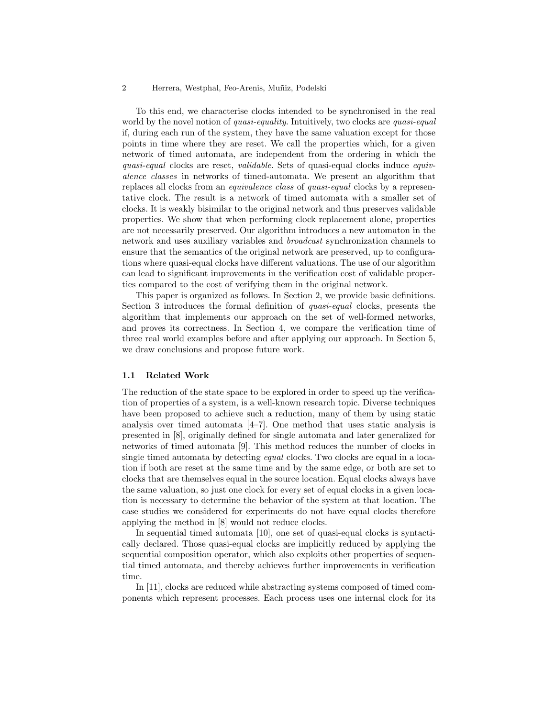To this end, we characterise clocks intended to be synchronised in the real world by the novel notion of *quasi-equality*. Intuitively, two clocks are *quasi-equal* if, during each run of the system, they have the same valuation except for those points in time where they are reset. We call the properties which, for a given network of timed automata, are independent from the ordering in which the quasi-equal clocks are reset, validable. Sets of quasi-equal clocks induce equivalence classes in networks of timed-automata. We present an algorithm that replaces all clocks from an equivalence class of quasi-equal clocks by a representative clock. The result is a network of timed automata with a smaller set of clocks. It is weakly bisimilar to the original network and thus preserves validable properties. We show that when performing clock replacement alone, properties are not necessarily preserved. Our algorithm introduces a new automaton in the network and uses auxiliary variables and broadcast synchronization channels to ensure that the semantics of the original network are preserved, up to configurations where quasi-equal clocks have different valuations. The use of our algorithm can lead to significant improvements in the verification cost of validable properties compared to the cost of verifying them in the original network.

This paper is organized as follows. In Section 2, we provide basic definitions. Section 3 introduces the formal definition of quasi-equal clocks, presents the algorithm that implements our approach on the set of well-formed networks, and proves its correctness. In Section 4, we compare the verification time of three real world examples before and after applying our approach. In Section 5, we draw conclusions and propose future work.

### 1.1 Related Work

The reduction of the state space to be explored in order to speed up the verification of properties of a system, is a well-known research topic. Diverse techniques have been proposed to achieve such a reduction, many of them by using static analysis over timed automata [4–7]. One method that uses static analysis is presented in [8], originally defined for single automata and later generalized for networks of timed automata [9]. This method reduces the number of clocks in single timed automata by detecting *equal* clocks. Two clocks are equal in a location if both are reset at the same time and by the same edge, or both are set to clocks that are themselves equal in the source location. Equal clocks always have the same valuation, so just one clock for every set of equal clocks in a given location is necessary to determine the behavior of the system at that location. The case studies we considered for experiments do not have equal clocks therefore applying the method in [8] would not reduce clocks.

In sequential timed automata [10], one set of quasi-equal clocks is syntactically declared. Those quasi-equal clocks are implicitly reduced by applying the sequential composition operator, which also exploits other properties of sequential timed automata, and thereby achieves further improvements in verification time.

In [11], clocks are reduced while abstracting systems composed of timed components which represent processes. Each process uses one internal clock for its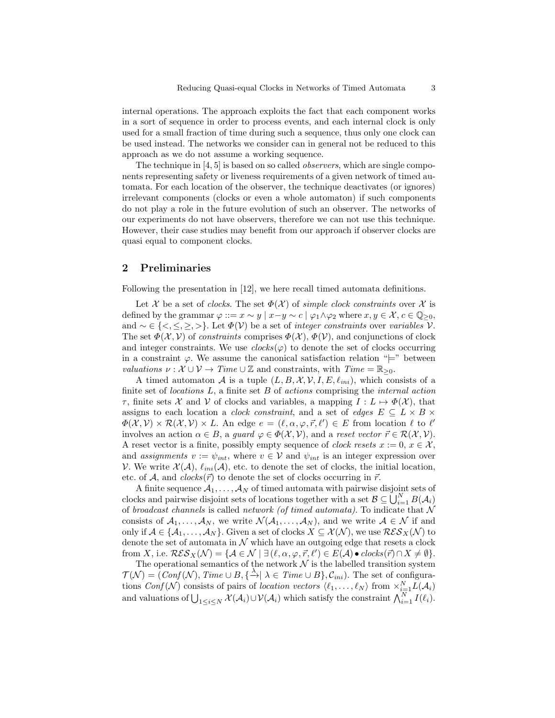internal operations. The approach exploits the fact that each component works in a sort of sequence in order to process events, and each internal clock is only used for a small fraction of time during such a sequence, thus only one clock can be used instead. The networks we consider can in general not be reduced to this approach as we do not assume a working sequence.

The technique in [4, 5] is based on so called observers, which are single components representing safety or liveness requirements of a given network of timed automata. For each location of the observer, the technique deactivates (or ignores) irrelevant components (clocks or even a whole automaton) if such components do not play a role in the future evolution of such an observer. The networks of our experiments do not have observers, therefore we can not use this technique. However, their case studies may benefit from our approach if observer clocks are quasi equal to component clocks.

# 2 Preliminaries

Following the presentation in [12], we here recall timed automata definitions.

Let X be a set of clocks. The set  $\Phi(\mathcal{X})$  of simple clock constraints over X is defined by the grammar  $\varphi ::= x \sim y \mid x-y \sim c \mid \varphi_1 \wedge \varphi_2$  where  $x, y \in \mathcal{X}, c \in \mathbb{Q}_{\geq 0}$ , and  $\sim \in \{ \langle \xi, \xi, \xi \rangle \}$ . Let  $\Phi(\mathcal{V})$  be a set of *integer constraints* over *variables*  $\mathcal{V}$ . The set  $\Phi(\mathcal{X}, \mathcal{V})$  of constraints comprises  $\Phi(\mathcal{X}), \Phi(\mathcal{V})$ , and conjunctions of clock and integer constraints. We use  $clocks(\varphi)$  to denote the set of clocks occurring in a constraint  $\varphi$ . We assume the canonical satisfaction relation " $\models$ " between valuations  $\nu : \mathcal{X} \cup \mathcal{V} \to Time \cup \mathbb{Z}$  and constraints, with  $Time = \mathbb{R}_{\geq 0}$ .

A timed automaton A is a tuple  $(L, B, \mathcal{X}, \mathcal{V}, I, E, \ell_{ini})$ , which consists of a finite set of *locations*  $L$ , a finite set  $B$  of *actions* comprising the *internal action*  $\tau$ , finite sets X and V of clocks and variables, a mapping  $I: L \mapsto \Phi(\mathcal{X})$ , that assigns to each location a *clock constraint*, and a set of *edges*  $E \subseteq L \times B \times$  $\Phi(\mathcal{X}, \mathcal{V}) \times \mathcal{R}(\mathcal{X}, \mathcal{V}) \times L$ . An edge  $e = (\ell, \alpha, \varphi, \vec{r}, \ell') \in E$  from location  $\ell$  to  $\ell'$ involves an action  $\alpha \in B$ , a guard  $\varphi \in \Phi(\mathcal{X}, \mathcal{V})$ , and a reset vector  $\vec{r} \in \mathcal{R}(\mathcal{X}, \mathcal{V})$ . A reset vector is a finite, possibly empty sequence of *clock resets*  $x := 0, x \in \mathcal{X}$ , and assignments  $v := \psi_{int}$ , where  $v \in V$  and  $\psi_{int}$  is an integer expression over V. We write  $\mathcal{X}(\mathcal{A}), \ell_{ini}(\mathcal{A}),$  etc. to denote the set of clocks, the initial location, etc. of A, and  $clocks(\vec{r})$  to denote the set of clocks occurring in  $\vec{r}$ .

A finite sequence  $A_1, \ldots, A_N$  of timed automata with pairwise disjoint sets of clocks and pairwise disjoint sets of locations together with a set  $\mathcal{B} \subseteq \bigcup_{i=1}^{N} B(\mathcal{A}_i)$ of broadcast channels is called network (of timed automata). To indicate that  $\mathcal N$ consists of  $A_1, \ldots, A_N$ , we write  $\mathcal{N}(\mathcal{A}_1, \ldots, \mathcal{A}_N)$ , and we write  $\mathcal{A} \in \mathcal{N}$  if and only if  $A \in \{A_1, \ldots, A_N\}$ . Given a set of clocks  $X \subseteq \mathcal{X}(\mathcal{N})$ , we use  $\mathcal{RES}_X(\mathcal{N})$  to denote the set of automata in  $\mathcal N$  which have an outgoing edge that resets a clock from X, i.e.  $\mathcal{RES}_X(\mathcal{N}) = \{ \mathcal{A} \in \mathcal{N} \mid \exists (\ell, \alpha, \varphi, \vec{r}, \ell') \in E(\mathcal{A}) \bullet \text{ clocks}(\vec{r}) \cap X \neq \emptyset \}.$ 

The operational semantics of the network  $\mathcal N$  is the labelled transition system  $\mathcal{T}(\mathcal{N}) = \overline{(Conf(\mathcal{N}), Time \cup B, \{\stackrel{\lambda}{\rightarrow} \mid \lambda \in Time \cup B\}, C_{ini})}.$  The set of configurations Conf(N) consists of pairs of location vectors  $\langle \ell_1, \ldots, \ell_N \rangle$  from  $\times_{i=1}^N L(\mathcal{A}_i)$ and valuations of  $\bigcup_{1 \leq i \leq N} \mathcal{X}(\mathcal{A}_i) \cup \mathcal{V}(\mathcal{A}_i)$  which satisfy the constraint  $\bigwedge_{i=1}^N I(\ell_i)$ .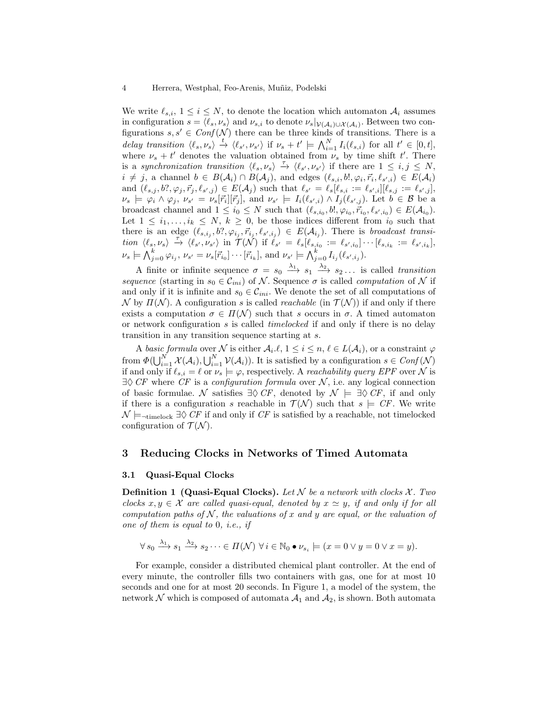We write  $\ell_{s,i}$ ,  $1 \leq i \leq N$ , to denote the location which automaton  $\mathcal{A}_i$  assumes in configuration  $s = \langle \ell_s, \nu_s \rangle$  and  $\nu_{s,i}$  to denote  $\nu_s|_{\mathcal{V}(\mathcal{A}_i) \cup \mathcal{X}(\mathcal{A}_i)}$ . Between two configurations  $s, s' \in Conf(\mathcal{N})$  there can be three kinds of transitions. There is a delay transition  $\langle \ell_s, \nu_s \rangle \stackrel{t}{\rightarrow} \langle \ell_{s'}, \nu_{s'} \rangle$  if  $\nu_s + t' \models \bigwedge_{i=1}^N I_i(\ell_{s,i})$  for all  $t' \in [0, t],$ where  $\nu_s + t'$  denotes the valuation obtained from  $\nu_s$  by time shift t'. There is a synchronization transition  $\langle \ell_s, \nu_s \rangle \stackrel{\tau}{\rightarrow} \langle \ell_{s'}, \nu_{s'} \rangle$  if there are  $1 \leq i, j \leq N$ ,  $i \neq j$ , a channel  $b \in B(\mathcal{A}_i) \cap B(\mathcal{A}_j)$ , and edges  $(\ell_{s,i},b!,\varphi_i,\vec{r}_i,\ell_{s',i}) \in E(\mathcal{A}_i)$ and  $(\ell_{s,j}, b?, \varphi_j, \vec{r}_j, \ell_{s',j}) \in E(\mathcal{A}_j)$  such that  $\ell_{s'} = \ell_s[\ell_{s,i} := \ell_{s',i}][\ell_{s,j} := \ell_{s',j}],$  $\nu_s \models \varphi_i \wedge \varphi_j, \nu_{s'} = \nu_s[\vec{r}_i][\vec{r}_j], \text{ and } \nu_{s'} \models I_i(\ell_{s',i}) \wedge I_j(\ell_{s',j}).$  Let  $b \in \mathcal{B}$  be a broadcast channel and  $1 \leq i_0 \leq N$  such that  $(\ell_{s,i_0}, b!, \varphi_{i_0}, \vec{r}_{i_0}, \ell_{s',i_0}) \in E(\mathcal{A}_{i_0}).$ Let  $1 \leq i_1, \ldots, i_k \leq N, k \geq 0$ , be those indices different from  $i_0$  such that there is an edge  $(\ell_{s,i_j}, b?, \varphi_{i_j}, \vec{r}_{i_j}, \ell_{s',i_j}) \in E(\mathcal{A}_{i_j})$ . There is broadcast transi- $\lim_{\delta \to 0} \langle \ell_s, \nu_s \rangle \stackrel{\tau}{\to} \langle \ell_{s'}, \nu_{s'} \rangle \stackrel{\tau}{\text{in }} \mathcal{T}(\mathcal{N}) \text{ if } \ell_{s'} = \ell_s[\ell_{s,i_0} := \ell_{s',i_0}] \cdots [\ell_{s,i_k} := \ell_{s',i_k}],$  $\nu_s \models \bigwedge_{j=0}^k \varphi_{i_j}, \nu_{s'} = \nu_s[\vec{r}_{i_0}] \cdots [\vec{r}_{i_k}], \text{ and } \nu_{s'} \models \bigwedge_{j=0}^k I_{i_j}(\ell_{s',i_j}).$ 

A finite or infinite sequence  $\sigma = s_0 \stackrel{\lambda_1}{\longrightarrow} s_1 \stackrel{\lambda_2}{\longrightarrow} s_2 \dots$  is called transition sequence (starting in  $s_0 \in \mathcal{C}_{ini}$ ) of N. Sequence  $\sigma$  is called *computation* of N if and only if it is infinite and  $s_0 \in \mathcal{C}_{ini}$ . We denote the set of all computations of N by  $\Pi(N)$ . A configuration s is called *reachable* (in  $\mathcal{T}(\mathcal{N})$ ) if and only if there exists a computation  $\sigma \in \Pi(\mathcal{N})$  such that s occurs in  $\sigma$ . A timed automaton or network configuration s is called timelocked if and only if there is no delay transition in any transition sequence starting at s.

A basic formula over N is either  $A_i.\ell, 1 \leq i \leq n, \ell \in L(\mathcal{A}_i)$ , or a constraint  $\varphi$ from  $\Phi(\bigcup_{i=1}^N \mathcal{X}(\mathcal{A}_i), \bigcup_{i=1}^N \mathcal{V}(\mathcal{A}_i))$ . It is satisfied by a configuration  $s \in Conf(\mathcal{N})$ if and only if  $\ell_{s,i} = \ell$  or  $\nu_s \models \varphi$ , respectively. A *reachability query EPF* over N is  $\exists \Diamond C$ F where CF is a configuration formula over N, i.e. any logical connection of basic formulae. N satisfies  $\exists \Diamond C F$ , denoted by  $\mathcal{N} \models \exists \Diamond C F$ , if and only if there is a configuration s reachable in  $\mathcal{T}(\mathcal{N})$  such that  $s \models \mathit{CF}$ . We write  $\mathcal{N} \models_{\neg \text{timelock}} \exists \Diamond \text{ } CF \text{ if and only if } \text{ } CF \text{ is satisfied by a reachable, not timelocked.}$ configuration of  $\mathcal{T}(\mathcal{N})$ .

### 3 Reducing Clocks in Networks of Timed Automata

### 3.1 Quasi-Equal Clocks

**Definition 1 (Quasi-Equal Clocks).** Let  $N$  be a network with clocks  $\chi$ . Two clocks  $x, y \in \mathcal{X}$  are called quasi-equal, denoted by  $x \simeq y$ , if and only if for all computation paths of  $\mathcal N$ , the valuations of x and y are equal, or the valuation of one of them is equal to 0, i.e., if

$$
\forall s_0 \xrightarrow{\lambda_1} s_1 \xrightarrow{\lambda_2} s_2 \cdots \in \Pi(\mathcal{N}) \ \forall i \in \mathbb{N}_0 \bullet \nu_{s_i} \models (x = 0 \lor y = 0 \lor x = y).
$$

For example, consider a distributed chemical plant controller. At the end of every minute, the controller fills two containers with gas, one for at most 10 seconds and one for at most 20 seconds. In Figure 1, a model of the system, the network  $N$  which is composed of automata  $\mathcal{A}_1$  and  $\mathcal{A}_2$ , is shown. Both automata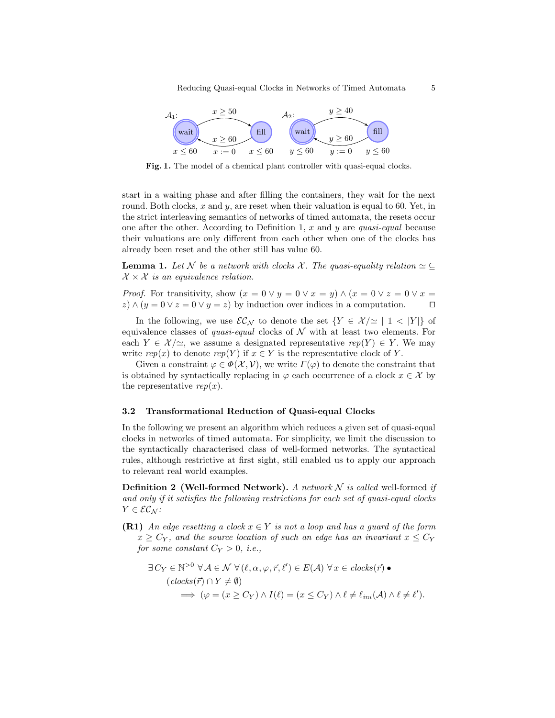

Fig. 1. The model of a chemical plant controller with quasi-equal clocks.

start in a waiting phase and after filling the containers, they wait for the next round. Both clocks, x and  $y$ , are reset when their valuation is equal to 60. Yet, in the strict interleaving semantics of networks of timed automata, the resets occur one after the other. According to Definition 1,  $x$  and  $y$  are *quasi-equal* because their valuations are only different from each other when one of the clocks has already been reset and the other still has value 60.

**Lemma 1.** Let N be a network with clocks X. The quasi-equality relation  $\simeq \subseteq$  $\mathcal{X} \times \mathcal{X}$  is an equivalence relation.

*Proof.* For transitivity, show  $(x = 0 \vee y = 0 \vee x = y) \wedge (x = 0 \vee z = 0 \vee x = 0)$  $z) \wedge (y = 0 \vee z = 0 \vee y = z)$  by induction over indices in a computation.  $\square$ 

In the following, we use  $\mathcal{EC}_{\mathcal{N}}$  to denote the set  $\{Y \in \mathcal{X}/\simeq | 1 < |Y| \}$  of equivalence classes of *quasi-equal* clocks of  $\mathcal N$  with at least two elements. For each  $Y \in \mathcal{X}/\simeq$ , we assume a designated representative  $rep(Y) \in Y$ . We may write  $rep(x)$  to denote  $rep(Y)$  if  $x \in Y$  is the representative clock of Y.

Given a constraint  $\varphi \in \Phi(\mathcal{X}, \mathcal{V})$ , we write  $\Gamma(\varphi)$  to denote the constraint that is obtained by syntactically replacing in  $\varphi$  each occurrence of a clock  $x \in \mathcal{X}$  by the representative  $rep(x)$ .

### 3.2 Transformational Reduction of Quasi-equal Clocks

In the following we present an algorithm which reduces a given set of quasi-equal clocks in networks of timed automata. For simplicity, we limit the discussion to the syntactically characterised class of well-formed networks. The syntactical rules, although restrictive at first sight, still enabled us to apply our approach to relevant real world examples.

**Definition 2 (Well-formed Network).** A network  $N$  is called well-formed if and only if it satisfies the following restrictions for each set of quasi-equal clocks  $Y \in \mathcal{EC}_\mathcal{N}$ :

**(R1)** An edge resetting a clock  $x \in Y$  is not a loop and has a guard of the form  $x \geq C_Y$ , and the source location of such an edge has an invariant  $x \leq C_Y$ for some constant  $C_Y > 0$ , i.e.,

$$
\exists C_Y \in \mathbb{N}^{>0} \,\forall \mathcal{A} \in \mathcal{N} \,\forall (\ell, \alpha, \varphi, \vec{r}, \ell') \in E(\mathcal{A}) \,\forall x \in clocks(\vec{r}) \bullet
$$
  

$$
(clocks(\vec{r}) \cap Y \neq \emptyset)
$$
  

$$
\implies (\varphi = (x \ge C_Y) \land I(\ell) = (x \le C_Y) \land \ell \neq \ell_{ini}(\mathcal{A}) \land \ell \neq \ell').
$$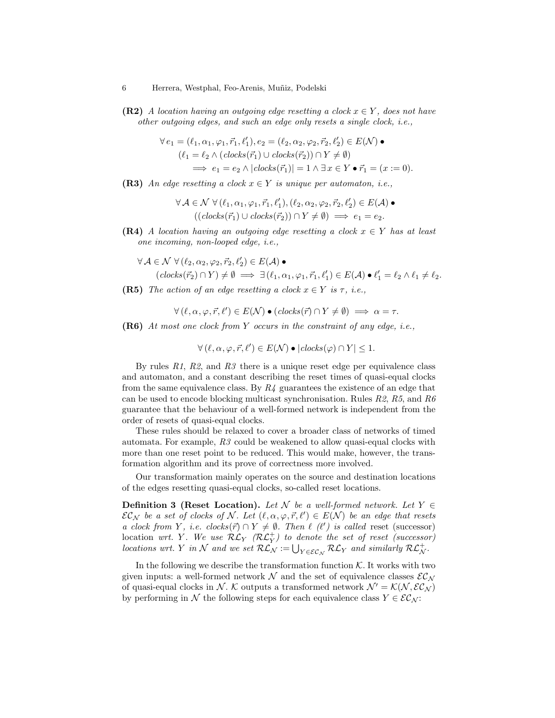(R2) A location having an outgoing edge resetting a clock  $x \in Y$ , does not have other outgoing edges, and such an edge only resets a single clock, i.e.,

$$
\forall e_1 = (\ell_1, \alpha_1, \varphi_1, \vec{r}_1, \ell'_1), e_2 = (\ell_2, \alpha_2, \varphi_2, \vec{r}_2, \ell'_2) \in E(\mathcal{N}) \bullet
$$
  

$$
(\ell_1 = \ell_2 \land (clocks(\vec{r}_1) \cup clocks(\vec{r}_2)) \cap Y \neq \emptyset)
$$
  

$$
\implies e_1 = e_2 \land |clocks(\vec{r}_1)| = 1 \land \exists x \in Y \bullet \vec{r}_1 = (x := 0).
$$

(R3) An edge resetting a clock  $x \in Y$  is unique per automaton, i.e.,

$$
\forall \mathcal{A} \in \mathcal{N} \ \forall (\ell_1, \alpha_1, \varphi_1, \vec{r}_1, \ell'_1), (\ell_2, \alpha_2, \varphi_2, \vec{r}_2, \ell'_2) \in E(\mathcal{A}) \bullet ((clocks(\vec{r}_1) \cup clocks(\vec{r}_2)) \cap Y \neq \emptyset) \implies e_1 = e_2.
$$

- (R4) A location having an outgoing edge resetting a clock  $x \in Y$  has at least one incoming, non-looped edge, i.e.,
	- $\forall \mathcal{A} \in \mathcal{N} \; \forall (\ell_2, \alpha_2, \varphi_2, \vec{r}_2, \ell'_2) \in E(\mathcal{A})$   $\bullet$  $(clocks(\vec{r}_2) \cap Y) \neq \emptyset \implies \exists (\ell_1, \alpha_1, \varphi_1, \vec{r}_1, \ell'_1) \in E(\mathcal{A}) \bullet \ell'_1 = \ell_2 \land \ell_1 \neq \ell_2.$
- (R5) The action of an edge resetting a clock  $x \in Y$  is  $\tau$ , i.e.,

$$
\forall (\ell, \alpha, \varphi, \vec{r}, \ell') \in E(\mathcal{N}) \bullet (clocks(\vec{r}) \cap Y \neq \emptyset) \implies \alpha = \tau.
$$

(R6) At most one clock from Y occurs in the constraint of any edge, i.e.,

$$
\forall (\ell, \alpha, \varphi, \vec{r}, \ell') \in E(\mathcal{N}) \bullet | clocks(\varphi) \cap Y| \leq 1.
$$

By rules  $R1$ ,  $R2$ , and  $R3$  there is a unique reset edge per equivalence class and automaton, and a constant describing the reset times of quasi-equal clocks from the same equivalence class. By  $R_4$  guarantees the existence of an edge that can be used to encode blocking multicast synchronisation. Rules  $R2$ ,  $R5$ , and  $R6$ guarantee that the behaviour of a well-formed network is independent from the order of resets of quasi-equal clocks.

These rules should be relaxed to cover a broader class of networks of timed automata. For example, R3 could be weakened to allow quasi-equal clocks with more than one reset point to be reduced. This would make, however, the transformation algorithm and its prove of correctness more involved.

Our transformation mainly operates on the source and destination locations of the edges resetting quasi-equal clocks, so-called reset locations.

**Definition 3 (Reset Location).** Let N be a well-formed network. Let  $Y \in$  $\mathcal{EC}_\mathcal{N}$  be a set of clocks of N. Let  $(\ell, \alpha, \varphi, \vec{r}, \ell') \in E(\mathcal{N})$  be an edge that resets a clock from Y, i.e. clocks( $\vec{r}$ )  $\cap$  Y  $\neq$   $\emptyset$ . Then  $\ell$  ( $\ell'$ ) is called reset (successor)  $\hbox{location\,\,\,wrt.\,\,} Y. \,\,\, We\,\,use\,\, \mathcal{RL}_Y \,\,\, (\mathcal{RL}_Y^+) \,\,to \,\,denote \,\,the\,\,set \,\,of \,\,reset \,\,\, (successor)$ locations wrt. Y in N and we set  $\mathcal{RL}_{\mathcal{N}} := \bigcup_{Y \in \mathcal{EC}_{\mathcal{N}}} \mathcal{RL}_{Y}$  and similarly  $\mathcal{RL}_{\mathcal{N}}^+$ .

In the following we describe the transformation function  $K$ . It works with two given inputs: a well-formed network  $\mathcal N$  and the set of equivalence classes  $\mathcal{EC}_N$ of quasi-equal clocks in N. K outputs a transformed network  $\mathcal{N}' = \mathcal{K}(\mathcal{N}, \mathcal{EC}_\mathcal{N})$ by performing in N the following steps for each equivalence class  $Y \in \mathcal{EC}_\mathcal{N}$ :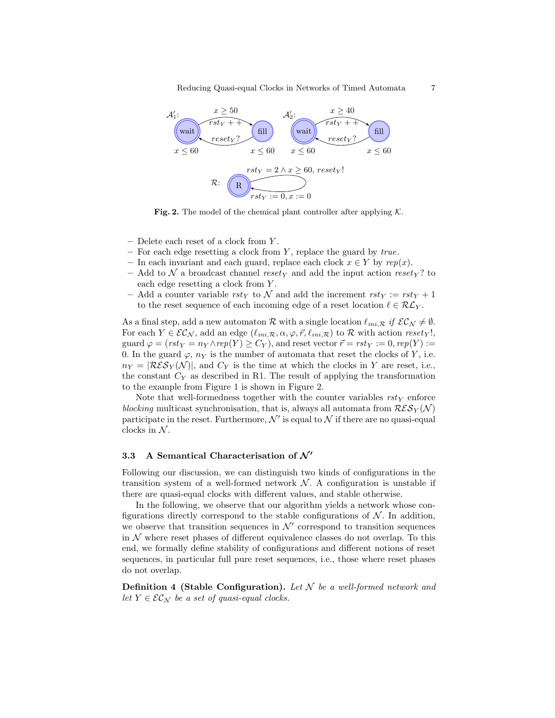Reducing Quasi-equal Clocks in Networks of Timed Automata 7



Fig. 2. The model of the chemical plant controller after applying  $K$ .

- $-$  Delete each reset of a clock from Y.
- For each edge resetting a clock from  $Y$ , replace the guard by *true*.
- In each invariant and each guard, replace each clock  $x \in Y$  by  $rep(x)$ .
- Add to N a broadcast channel resety and add the input action resety? to each edge resetting a clock from Y.
- Add a counter variable rsty to N and add the increment rsty :=  $rst<sub>Y</sub>$  + 1 to the reset sequence of each incoming edge of a reset location  $\ell \in \mathcal{RL}_Y$ .

As a final step, add a new automaton R with a single location  $\ell_{ini,R}$  if  $\mathcal{EC}_\mathcal{N} \neq \emptyset$ . For each  $Y \in \mathcal{EC}_\mathcal{N}$ , add an edge  $(\ell_{ini,\mathcal{R}}, \alpha, \varphi, \vec{r}, \ell_{ini,\mathcal{R}})$  to  $\mathcal{R}$  with action resety!, guard  $\varphi = (rst_Y = n_Y \wedge rep(Y) \geq C_Y)$ , and reset vector  $\vec{r} = rst_Y := 0$ ,  $rep(Y) :=$ 0. In the guard  $\varphi$ ,  $n_Y$  is the number of automata that reset the clocks of Y, i.e.  $n_Y = |\mathcal{RES}_Y(\mathcal{N})|$ , and  $C_Y$  is the time at which the clocks in Y are reset, i.e., the constant  $C_Y$  as described in R1. The result of applying the transformation to the example from Figure 1 is shown in Figure 2.

Note that well-formedness together with the counter variables  $rst\mathbf{v}$  enforce blocking multicast synchronisation, that is, always all automata from  $\mathcal{RES}_{Y}(\mathcal{N})$ participate in the reset. Furthermore,  $\mathcal{N}'$  is equal to  $\mathcal N$  if there are no quasi-equal clocks in  $\mathcal N.$ 

### 3.3 A Semantical Characterisation of  $\mathcal{N}'$

Following our discussion, we can distinguish two kinds of configurations in the transition system of a well-formed network  $N$ . A configuration is unstable if there are quasi-equal clocks with different values, and stable otherwise.

In the following, we observe that our algorithm yields a network whose configurations directly correspond to the stable configurations of  $\mathcal N$ . In addition, we observe that transition sequences in  $\mathcal{N}'$  correspond to transition sequences in  $\mathcal N$  where reset phases of different equivalence classes do not overlap. To this end, we formally define stability of configurations and different notions of reset sequences, in particular full pure reset sequences, i.e., those where reset phases do not overlap.

**Definition 4 (Stable Configuration).** Let  $N$  be a well-formed network and let  $Y \in \mathcal{EC}_\mathcal{N}$  be a set of quasi-equal clocks.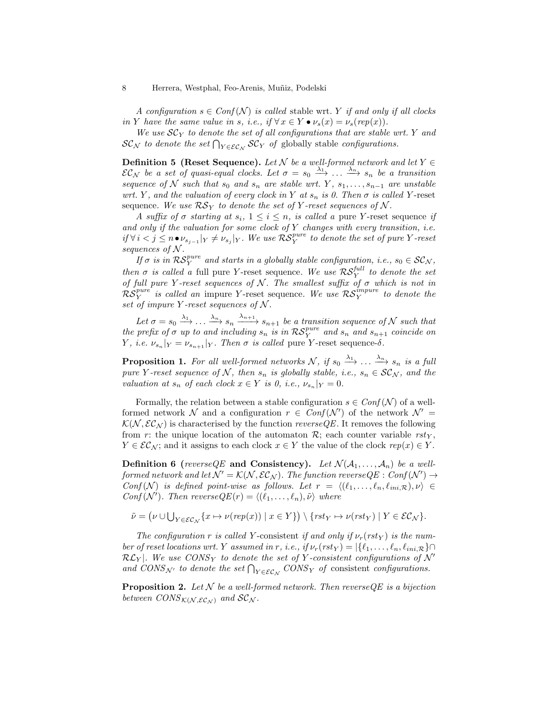A configuration  $s \in Conf(N)$  is called stable wrt. Y if and only if all clocks in Y have the same value in s, i.e., if  $\forall x \in Y \bullet \nu_s(x) = \nu_s(rep(x)).$ 

We use  $SC_Y$  to denote the set of all configurations that are stable wrt. Y and  $SC_{\mathcal{N}}$  to denote the set  $\bigcap_{Y \in \mathcal{EC}_{\mathcal{N}}} SC_{Y}$  of globally stable configurations.

**Definition 5** (Reset Sequence). Let  $N$  be a well-formed network and let  $Y \in$  $EC_N$  be a set of quasi-equal clocks. Let  $\sigma = s_0 \stackrel{\lambda_1}{\longrightarrow} \ldots \stackrel{\lambda_n}{\longrightarrow} s_n$  be a transition sequence of N such that  $s_0$  and  $s_n$  are stable wrt. Y,  $s_1, \ldots, s_{n-1}$  are unstable wrt. Y, and the valuation of every clock in Y at  $s_n$  is 0. Then  $\sigma$  is called Y-reset sequence. We use  $\mathcal{RS}_Y$  to denote the set of Y-reset sequences of N.

A suffix of  $\sigma$  starting at  $s_i$ ,  $1 \leq i \leq n$ , is called a pure Y-reset sequence if and only if the valuation for some clock of  $Y$  changes with every transition, i.e.  $if \forall i < j \leq n \bullet \nu_{s_{j-1}}|_Y \neq \nu_{s_j}|_Y$ . We use  $\mathcal{RS}_Y^{pure}$  to denote the set of pure Y-reset sequences of  $N$ .

If  $\sigma$  is in  $\mathcal{RS}_Y^{pure}$  and starts in a globally stable configuration, i.e.,  $s_0 \in \mathcal{SC}_N$ , then  $\sigma$  is called a full pure Y-reset sequence. We use  $\mathcal{RS}_Y^{full}$  to denote the set of full pure Y-reset sequences of N. The smallest suffix of  $\sigma$  which is not in  $\mathcal{RS}_Y^{pure}$  is called an impure Y-reset sequence. We use  $\mathcal{RS}_Y^{impure}$  to denote the set of impure Y-reset sequences of  $N$ .

Let  $\sigma = s_0 \stackrel{\lambda_1}{\longrightarrow} \ldots \stackrel{\lambda_n}{\longrightarrow} s_n \stackrel{\lambda_{n+1}}{\longrightarrow} s_{n+1}$  be a transition sequence of N such that the prefix of  $\sigma$  up to and including  $s_n$  is in  $\mathcal{RS}_Y^{pure}$  and  $s_n$  and  $s_{n+1}$  coincide on *Y*, *i.e.*  $\nu_{s_n}|_Y = \nu_{s_{n+1}}|_Y$ . Then  $\sigma$  is called pure *Y*-reset sequence- $\delta$ .

**Proposition 1.** For all well-formed networks N, if  $s_0 \xrightarrow{\lambda_1} \ldots \xrightarrow{\lambda_n} s_n$  is a full pure Y-reset sequence of N, then  $s_n$  is globally stable, i.e.,  $s_n \in \mathcal{SC}_N$ , and the valuation at  $s_n$  of each clock  $x \in Y$  is 0, i.e.,  $\nu_{s_n}|_Y = 0$ .

Formally, the relation between a stable configuration  $s \in Conf(\mathcal{N})$  of a wellformed network  $\mathcal N$  and a configuration  $r \in \text{Conf}(\mathcal N')$  of the network  $\mathcal N' =$  $\mathcal{K}(\mathcal{N}, \mathcal{EC}_\mathcal{N})$  is characterised by the function reverseQE. It removes the following from r: the unique location of the automaton  $\mathcal{R}$ ; each counter variable rst<sub>Y</sub>,  $Y \in \mathcal{EC}_\mathcal{N}$ ; and it assigns to each clock  $x \in Y$  the value of the clock  $rep(x) \in Y$ .

**Definition 6** (reverse QE and Consistency). Let  $\mathcal{N}(\mathcal{A}_1, \ldots, \mathcal{A}_n)$  be a wellformed network and let  $\mathcal{N}' = \mathcal{K}(\mathcal{N}, \mathcal{EC}_\mathcal{N})$ . The function reverse $QE : Conf(\mathcal{N}') \rightarrow$  $Conf(N)$  is defined point-wise as follows. Let  $r = \langle (\ell_1, \ldots, \ell_n, \ell_{ini,R}), \nu \rangle \in$ Conf  $(\mathcal{N}')$ . Then reverse  $QE(r) = \langle (\ell_1, \ldots, \ell_n), \tilde{\nu} \rangle$  where

$$
\tilde{\nu} = (\nu \cup \bigcup_{Y \in \mathcal{EC}_\mathcal{N}} \{x \mapsto \nu(\mathit{rep}(x)) \mid x \in Y\}) \setminus \{\mathit{rst}_Y \mapsto \nu(\mathit{rst}_Y) \mid Y \in \mathcal{EC}_\mathcal{N}\}.
$$

The configuration r is called Y-consistent if and only if  $\nu_r(rst_Y)$  is the number of reset locations wrt. Y assumed in r, i.e., if  $\nu_r(rst_Y) = |\{\ell_1, \ldots, \ell_n, \ell_{ini,R}\}\cap$  $\mathcal{RL}_Y$ . We use CONS<sub>Y</sub> to denote the set of Y-consistent configurations of N' and  $CONS_{\mathcal{N}'}$  to denote the set  $\bigcap_{Y \in \mathcal{EC}_\mathcal{N}} CONS_Y$  of consistent configurations.

**Proposition 2.** Let  $N$  be a well-formed network. Then reverse QE is a bijection between  $CONS_{\mathcal{K}(\mathcal{N},\mathcal{EC}_\mathcal{N})}$  and  $SC_{\mathcal{N}}$ .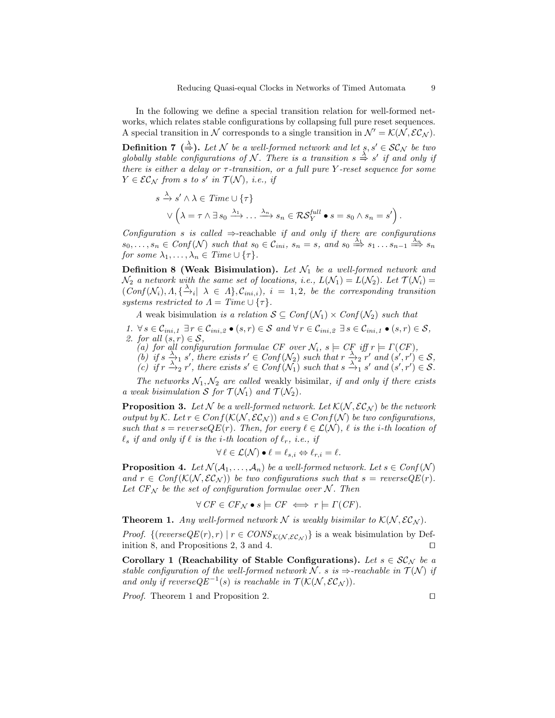In the following we define a special transition relation for well-formed networks, which relates stable configurations by collapsing full pure reset sequences. A special transition in N corresponds to a single transition in  $\mathcal{N}' = \mathcal{K}(\mathcal{N}, \mathcal{EC}_\mathcal{N}).$ 

**Definition 7** ( $\stackrel{\lambda}{\Rightarrow}$ ). Let N be a well-formed network and let  $s, s' \in \mathcal{SC}_N$  be two globally stable configurations of N. There is a transition  $s \stackrel{\lambda}{\Rightarrow} s'$  if and only if there is either a delay or  $\tau$ -transition, or a full pure Y-reset sequence for some  $Y \in \mathcal{EC}_\mathcal{N}$  from s to s' in  $\mathcal{T}(\mathcal{N})$ , i.e., if

$$
s \xrightarrow{\lambda} s' \wedge \lambda \in Time \cup \{\tau\}
$$
  
 
$$
\vee (\lambda = \tau \wedge \exists s_0 \xrightarrow{\lambda_1} \dots \xrightarrow{\lambda_n} s_n \in \mathcal{RS}_Y^{full} \bullet s = s_0 \wedge s_n = s' ).
$$

Configuration s is called  $\Rightarrow$ -reachable if and only if there are configurations  $s_0, \ldots, s_n \in Conf(\mathcal{N})$  such that  $s_0 \in \mathcal{C}_{ini}$ ,  $s_n = s$ , and  $s_0 \stackrel{\lambda_1}{\Longrightarrow} s_1 \ldots s_{n-1} \stackrel{\lambda_n}{\Longrightarrow} s_n$ for some  $\lambda_1, \ldots, \lambda_n \in \text{Time} \cup \{\tau\}.$ 

**Definition 8 (Weak Bisimulation).** Let  $\mathcal{N}_1$  be a well-formed network and  $\mathcal{N}_2$  a network with the same set of locations, i.e.,  $L(\mathcal{N}_1) = L(\mathcal{N}_2)$ . Let  $\mathcal{T}(\mathcal{N}_i) =$  $(\overrightarrow{Conf}(\mathcal{N}_i), \Lambda, \{\overrightarrow{\lambda}_i | \lambda \in \Lambda\}, C_{ini,i}), i = 1, 2, be the corresponding transition$ systems restricted to  $\Lambda = Time \cup \{\tau\}.$ 

A weak bisimulation is a relation  $S \subseteq Conf(\mathcal{N}_1) \times Conf(\mathcal{N}_2)$  such that

- 1.  $\forall s \in \mathcal{C}_{ini,1} \exists r \in \mathcal{C}_{ini,2} \bullet (s,r) \in \mathcal{S} \text{ and } \forall r \in \mathcal{C}_{ini,2} \exists s \in \mathcal{C}_{ini,1} \bullet (s,r) \in \mathcal{S},$ 2. for all  $(s, r) \in S$ ,
	- (a) for all configuration formulae CF over  $\mathcal{N}_i$ ,  $s \models C\mathcal{F}$  iff  $r \models \Gamma(C\mathcal{F})$ ,
	- (b) if  $s \xrightarrow{\lambda_1} s'$ , there exists  $r' \in Conf(\mathcal{N}_2)$  such that  $r \xrightarrow{\lambda_2} r'$  and  $(s', r') \in S$ ,
	- (c) if  $r \stackrel{\lambda_1}{\rightarrow}_2 r'$ , there exists  $s' \in Conf(\lambda_1)$  such that  $s \stackrel{\lambda_2}{\rightarrow}_1 s'$  and  $(s', r') \in S$ .

The networks  $\mathcal{N}_1, \mathcal{N}_2$  are called weakly bisimilar, if and only if there exists a weak bisimulation S for  $\mathcal{T}(\mathcal{N}_1)$  and  $\mathcal{T}(\mathcal{N}_2)$ .

**Proposition 3.** Let N be a well-formed network. Let  $\mathcal{K}(\mathcal{N}, \mathcal{EC}_N)$  be the network output by K. Let  $r \in Conf(K(N, \mathcal{EC}_N))$  and  $s \in Conf(N)$  be two configurations, such that  $s = reverseQE(r)$ . Then, for every  $\ell \in \mathcal{L}(\mathcal{N})$ ,  $\ell$  is the i-th location of  $\ell_s$  if and only if  $\ell$  is the i-th location of  $\ell_r$ , i.e., if

$$
\forall \ell \in \mathcal{L}(\mathcal{N}) \bullet \ell = \ell_{s,i} \Leftrightarrow \ell_{r,i} = \ell.
$$

**Proposition 4.** Let  $\mathcal{N}(\mathcal{A}_1, \ldots, \mathcal{A}_n)$  be a well-formed network. Let  $s \in Conf(\mathcal{N})$ and  $r \in Conf(\mathcal{K}(\mathcal{N}, \mathcal{EC}_\mathcal{N}))$  be two configurations such that  $s = reverseQE(r)$ . Let  $CF_N$  be the set of configuration formulae over N. Then

$$
\forall \, CF \in CF_{\mathcal{N}} \bullet s \models CF \iff r \models \Gamma(CF).
$$

**Theorem 1.** Any well-formed network N is weakly bisimilar to  $K(N, \mathcal{EC}_N)$ .

*Proof.* {(reverse $QE(r), r$ ) |  $r \in CONS_{K(N, \mathcal{EC}_N)}$ } is a weak bisimulation by Definition 8, and Propositions 2, 3 and 4.  $\Box$ 

Corollary 1 (Reachability of Stable Configurations). Let  $s \in \mathcal{SC}_N$  be a stable configuration of the well-formed network N. s is  $\Rightarrow$ -reachable in  $\mathcal{T}(\mathcal{N})$  if and only if reverse $QE^{-1}(s)$  is reachable in  $\mathcal{T}(\mathcal{K}(\mathcal{N}, \mathcal{EC}_\mathcal{N}))$ .

*Proof.* Theorem 1 and Proposition 2.  $\Box$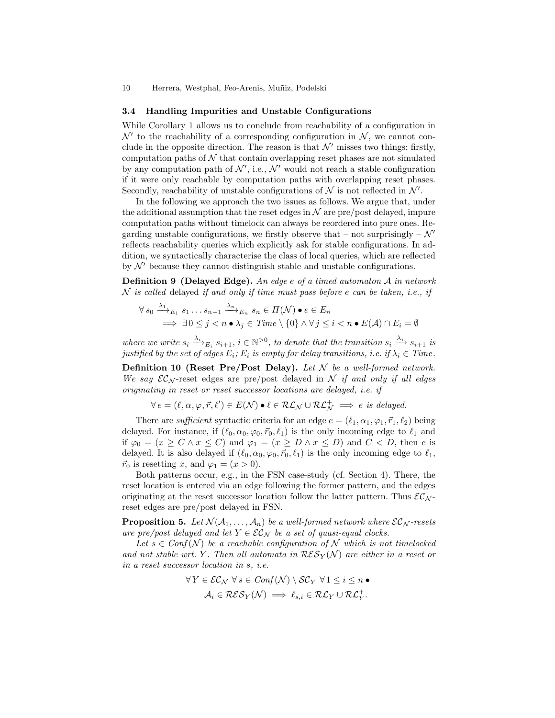### 3.4 Handling Impurities and Unstable Configurations

While Corollary 1 allows us to conclude from reachability of a configuration in  $\mathcal{N}'$  to the reachability of a corresponding configuration in  $\mathcal{N}$ , we cannot conclude in the opposite direction. The reason is that  $\mathcal{N}'$  misses two things: firstly, computation paths of  $\mathcal N$  that contain overlapping reset phases are not simulated by any computation path of  $\mathcal{N}'$ , i.e.,  $\mathcal{N}'$  would not reach a stable configuration if it were only reachable by computation paths with overlapping reset phases. Secondly, reachability of unstable configurations of  $\mathcal N$  is not reflected in  $\mathcal N'$ .

In the following we approach the two issues as follows. We argue that, under the additional assumption that the reset edges in  $\mathcal N$  are pre/post delayed, impure computation paths without timelock can always be reordered into pure ones. Regarding unstable configurations, we firstly observe that – not surprisingly –  $\mathcal{N}'$ reflects reachability queries which explicitly ask for stable configurations. In addition, we syntactically characterise the class of local queries, which are reflected by  $\mathcal{N}'$  because they cannot distinguish stable and unstable configurations.

**Definition 9** (Delayed Edge). An edge  $e$  of a timed automaton  $\mathcal A$  in network  $N$  is called delayed if and only if time must pass before e can be taken, i.e., if

$$
\forall s_0 \xrightarrow{\lambda_1} E_1 \ s_1 \dots s_{n-1} \xrightarrow{\lambda_n} E_n \ s_n \in \Pi(\mathcal{N}) \bullet e \in E_n
$$
  

$$
\implies \exists 0 \le j < n \bullet \lambda_j \in \mathit{Time} \setminus \{0\} \land \forall j \le i < n \bullet E(\mathcal{A}) \cap E_i = \emptyset
$$

where we write  $s_i \xrightarrow{\lambda_i} E_i$   $s_{i+1}$ ,  $i \in \mathbb{N}^{>0}$ , to denote that the transition  $s_i \xrightarrow{\lambda_i} s_{i+1}$  is justified by the set of edges  $E_i$ ;  $E_i$  is empty for delay transitions, i.e. if  $\lambda_i \in \mathit{Time}$ .

**Definition 10 (Reset Pre/Post Delay).** Let  $N$  be a well-formed network. We say  $\mathcal{EC}_\mathcal{N}$ -reset edges are pre/post delayed in  $\mathcal N$  if and only if all edges originating in reset or reset successor locations are delayed, i.e. if

$$
\forall e=(\ell,\alpha,\varphi,\vec{r},\ell')\in E(\mathcal{N})\bullet \ell \in \mathcal{RL}_{\mathcal{N}}\cup \mathcal{RL}_{\mathcal{N}}^+\implies e\textit{ is delayed.}
$$

There are *sufficient* syntactic criteria for an edge  $e = (\ell_1, \alpha_1, \varphi_1, \vec{r}_1, \ell_2)$  being delayed. For instance, if  $(\ell_0, \alpha_0, \varphi_0, \vec{r}_0, \ell_1)$  is the only incoming edge to  $\ell_1$  and if  $\varphi_0 = (x \ge C \land x \le C)$  and  $\varphi_1 = (x \ge D \land x \le D)$  and  $C < D$ , then e is delayed. It is also delayed if  $(\ell_0, \alpha_0, \varphi_0, \vec{r}_0, \ell_1)$  is the only incoming edge to  $\ell_1$ ,  $\vec{r}_0$  is resetting x, and  $\varphi_1 = (x > 0)$ .

Both patterns occur, e.g., in the FSN case-study (cf. Section 4). There, the reset location is entered via an edge following the former pattern, and the edges originating at the reset successor location follow the latter pattern. Thus  $\mathcal{EC}_{\mathcal{N}}$ reset edges are pre/post delayed in FSN.

**Proposition 5.** Let  $\mathcal{N}(\mathcal{A}_1, \ldots, \mathcal{A}_n)$  be a well-formed network where  $\mathcal{EC}_\mathcal{N}$ -resets are pre/post delayed and let  $Y \in \mathcal{EC}_N$  be a set of quasi-equal clocks.

Let  $s \in Conf(N)$  be a reachable configuration of N which is not timelocked and not stable wrt. Y. Then all automata in  $\mathcal{RES}_{Y}(\mathcal{N})$  are either in a reset or in a reset successor location in s, i.e.

$$
\forall Y \in \mathcal{EC}_\mathcal{N} \ \forall \ s \in Conf(\mathcal{N}) \setminus \mathcal{SC}_Y \ \forall 1 \leq i \leq n \ \bullet
$$

$$
\mathcal{A}_i \in \mathcal{RES}_Y(\mathcal{N}) \implies \ell_{s,i} \in \mathcal{RL}_Y \cup \mathcal{RL}_Y^+.
$$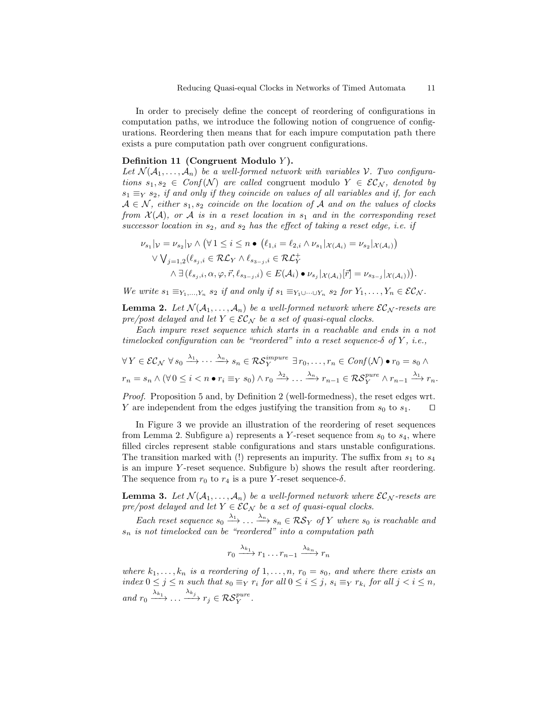In order to precisely define the concept of reordering of configurations in computation paths, we introduce the following notion of congruence of configurations. Reordering then means that for each impure computation path there exists a pure computation path over congruent configurations.

### Definition 11 (Congruent Modulo  $Y$ ).

Let  $\mathcal{N}(\mathcal{A}_1,\ldots,\mathcal{A}_n)$  be a well-formed network with variables V. Two configurations  $s_1, s_2 \in Conf(N)$  are called congruent modulo  $Y \in \mathcal{EC}_N$ , denoted by  $s_1 \equiv_Y s_2$ , if and only if they coincide on values of all variables and if, for each  $A \in \mathcal{N}$ , either  $s_1, s_2$  coincide on the location of A and on the values of clocks from  $\mathcal{X}(A)$ , or A is in a reset location in  $s_1$  and in the corresponding reset successor location in  $s_2$ , and  $s_2$  has the effect of taking a reset edge, i.e. if

$$
\nu_{s_1}|\nu = \nu_{s_2}|\nu \wedge (\forall 1 \leq i \leq n \bullet (\ell_{1,i} = \ell_{2,i} \wedge \nu_{s_1} |_{\mathcal{X}(\mathcal{A}_i)} = \nu_{s_2} |_{\mathcal{X}(\mathcal{A}_i)})
$$
  
 
$$
\vee \bigvee_{j=1,2} (\ell_{s_j,i} \in \mathcal{RL}_{Y} \wedge \ell_{s_{3-j},i} \in \mathcal{RL}_{Y}^{+}
$$
  
\n
$$
\wedge \exists (\ell_{s_j,i}, \alpha, \varphi, \vec{r}, \ell_{s_{3-j},i}) \in E(\mathcal{A}_i) \bullet \nu_{s_j} |_{\mathcal{X}(\mathcal{A}_i)}[\vec{r}] = \nu_{s_{3-j}} |_{\mathcal{X}(\mathcal{A}_i)})).
$$

We write  $s_1 \equiv_{Y_1,\dots,Y_n} s_2$  if and only if  $s_1 \equiv_{Y_1\cup\dots\cup Y_n} s_2$  for  $Y_1,\dots,Y_n \in \mathcal{EC}_\mathcal{N}$ .

**Lemma 2.** Let  $\mathcal{N}(\mathcal{A}_1, \ldots, \mathcal{A}_n)$  be a well-formed network where  $\mathcal{EC}_{\mathcal{N}}$ -resets are pre/post delayed and let  $Y \in \mathcal{EC}_\mathcal{N}$  be a set of quasi-equal clocks.

Each impure reset sequence which starts in a reachable and ends in a not timelocked configuration can be "reordered" into a reset sequence- $\delta$  of Y, i.e.,

$$
\forall Y \in \mathcal{EC}_{\mathcal{N}} \ \forall s_0 \xrightarrow{\lambda_1} \cdots \xrightarrow{\lambda_n} s_n \in \mathcal{RS}_Y^{impure} \ \exists r_0, \ldots, r_n \in \mathit{Conf}(\mathcal{N}) \bullet r_0 = s_0 \land
$$
  

$$
r_n = s_n \land (\forall 0 \leq i < n \bullet r_i \equiv_Y s_0) \land r_0 \xrightarrow{\lambda_2} \ldots \xrightarrow{\lambda_n} r_{n-1} \in \mathcal{RS}_Y^{pure} \land r_{n-1} \xrightarrow{\lambda_1} r_n.
$$

Proof. Proposition 5 and, by Definition 2 (well-formedness), the reset edges wrt. Y are independent from the edges justifying the transition from  $s_0$  to  $s_1$ .  $\Box$ 

In Figure 3 we provide an illustration of the reordering of reset sequences from Lemma 2. Subfigure a) represents a Y-reset sequence from  $s_0$  to  $s_4$ , where filled circles represent stable configurations and stars unstable configurations. The transition marked with (!) represents an impurity. The suffix from  $s_1$  to  $s_4$ is an impure Y -reset sequence. Subfigure b) shows the result after reordering. The sequence from  $r_0$  to  $r_4$  is a pure Y-reset sequence- $\delta$ .

**Lemma 3.** Let  $\mathcal{N}(\mathcal{A}_1, \ldots, \mathcal{A}_n)$  be a well-formed network where  $\mathcal{EC}_N$ -resets are pre/post delayed and let  $Y \in \mathcal{EC}_\mathcal{N}$  be a set of quasi-equal clocks.

Each reset sequence  $s_0 \stackrel{\lambda_1}{\longrightarrow} \ldots \stackrel{\lambda_n}{\longrightarrow} s_n \in \mathcal{RS}_Y$  of Y where  $s_0$  is reachable and  $s_n$  is not timelocked can be "reordered" into a computation path

$$
r_0 \xrightarrow{\lambda_{k_1}} r_1 \dots r_{n-1} \xrightarrow{\lambda_{k_n}} r_n
$$

where  $k_1, \ldots, k_n$  is a reordering of  $1, \ldots, n$ ,  $r_0 = s_0$ , and where there exists an index  $0 \leq j \leq n$  such that  $s_0 \equiv_Y r_i$  for all  $0 \leq i \leq j$ ,  $s_i \equiv_Y r_{k_i}$  for all  $j < i \leq n$ , and  $r_0 \xrightarrow{\lambda_{k_1}} \dots \xrightarrow{\lambda_{k_j}} r_j \in \mathcal{RS}_Y^{pure}$ .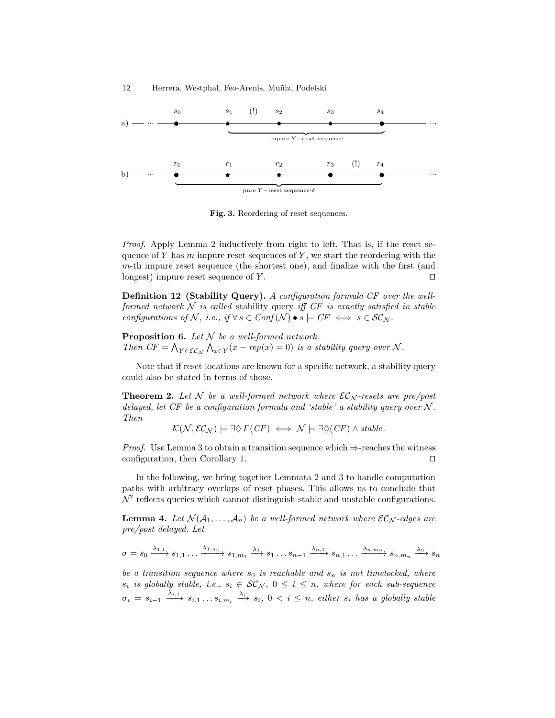



Fig. 3. Reordering of reset sequences.

Proof. Apply Lemma 2 inductively from right to left. That is, if the reset sequence of Y has  $m$  impure reset sequences of Y, we start the reordering with the m-th impure reset sequence (the shortest one), and finalize with the first (and longest) impure reset sequence of Y.  $\Box$ 

Definition 12 (Stability Query). A configuration formula CF over the wellformed network  $N$  is called stability query iff CF is exactly satisfied in stable configurations of N, i.e., if  $\forall s \in Conf(N) \bullet s \models CF \iff s \in SC_N$ .

**Proposition 6.** Let  $N$  be a well-formed network. Then  $CF = \bigwedge_{Y \in \mathcal{EC}_\mathcal{N}} \bigwedge_{x \in Y} (x - rep(x) = 0)$  is a stability query over N.

Note that if reset locations are known for a specific network, a stability query could also be stated in terms of those.

**Theorem 2.** Let N be a well-formed network where  $\mathcal{EC}_N$ -resets are pre/post delayed, let  $CF$  be a configuration formula and 'stable' a stability query over  $N$ . Then

 $\mathcal{K}(\mathcal{N}, \mathcal{EC}_\mathcal{N}) \models \exists \Diamond \Gamma(CF) \iff \mathcal{N} \models \exists \Diamond (CF) \land stable.$ 

*Proof.* Use Lemma 3 to obtain a transition sequence which  $\Rightarrow$ -reaches the witness configuration, then Corollary 1.  $\Box$ 

In the following, we bring together Lemmata 2 and 3 to handle computation paths with arbitrary overlaps of reset phases. This allows us to conclude that  $\mathcal{N}'$  reflects queries which cannot distinguish stable and unstable configurations.

**Lemma 4.** Let  $\mathcal{N}(\mathcal{A}_1, \ldots, \mathcal{A}_n)$  be a well-formed network where  $\mathcal{EC}_\mathcal{N}$ -edges are pre/post delayed. Let

$$
\sigma = s_0 \xrightarrow{\lambda_{1,1}} s_{1,1} \dots \xrightarrow{\lambda_{1,m_1}} s_{1,m_1} \xrightarrow{\lambda_1} s_1 \dots s_{n-1} \xrightarrow{\lambda_{n,1}} s_{n,1} \dots \xrightarrow{\lambda_{n,m_n}} s_{n,m_n} \xrightarrow{\lambda_n} s_n
$$

be a transition sequence where  $s_0$  is reachable and  $s_n$  is not timelocked, where  $s_i$  is globally stable, i.e.,  $s_i \in \mathcal{SC}_\mathcal{N}, 0 \leq i \leq n$ , where for each sub-sequence  $\sigma_i = s_{i-1} \xrightarrow{\lambda_{i,1}} s_{i,1} \dots s_{i,m_i} \xrightarrow{\lambda_i} s_i, 0 \lt i \leq n$ , either  $s_i$  has a globally stable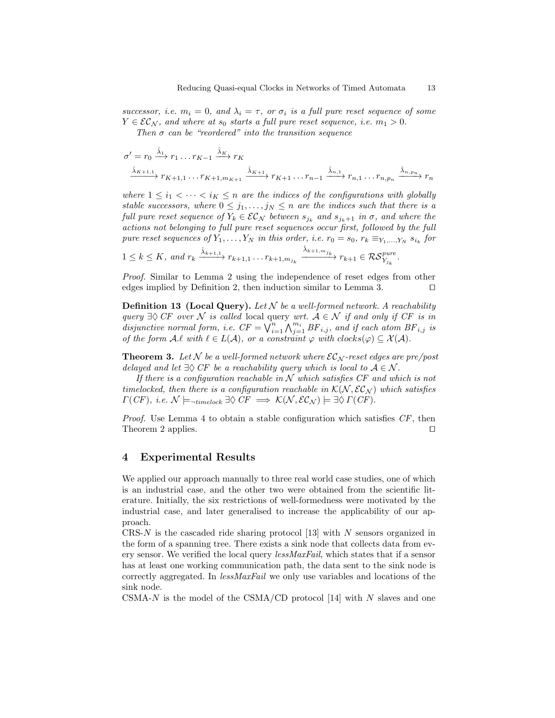successor, i.e.  $m_i = 0$ , and  $\lambda_i = \tau$ , or  $\sigma_i$  is a full pure reset sequence of some  $Y \in \mathcal{EC}_\mathcal{N}$ , and where at  $s_0$  starts a full pure reset sequence, i.e.  $m_1 > 0$ .

Then  $\sigma$  can be "reordered" into the transition sequence

$$
\sigma' = r_0 \xrightarrow{\hat{\lambda}_1} r_1 \dots r_{K-1} \xrightarrow{\hat{\lambda}_K} r_K
$$
  

$$
\xrightarrow{\hat{\lambda}_{K+1,1}} r_{K+1,1} \dots r_{K+1,m_{K+1}} \xrightarrow{\hat{\lambda}_{K+1}} r_{K+1} \dots r_{n-1} \xrightarrow{\hat{\lambda}_{n,1}} r_{n,1} \dots r_{n,p_n} \xrightarrow{\hat{\lambda}_{n,p_n}} r_n
$$

where  $1 \leq i_1 < \cdots < i_K \leq n$  are the indices of the configurations with globally stable successors, where  $0 \leq j_1, \ldots, j_N \leq n$  are the indices such that there is a full pure reset sequence of  $Y_k \in \mathcal{EC}_\mathcal{N}$  between  $s_{j_k}$  and  $s_{j_k+1}$  in  $\sigma$ , and where the actions not belonging to full pure reset sequences occur first, followed by the full pure reset sequences of  $Y_1, \ldots, Y_N$  in this order, i.e.  $r_0 = s_0, r_k \equiv_{Y_1, \ldots, Y_N} s_{i_k}$  for

$$
1 \leq k \leq K, \text{ and } r_k \xrightarrow{\hat{\lambda}_{k+1,1}} r_{k+1,1} \dots r_{k+1,m_{j_k}} \xrightarrow{\hat{\lambda}_{k+1,m_{j_k}}} r_{k+1} \in \mathcal{RS}_{Y_{j_k}}^{\text{pure}}.
$$

Proof. Similar to Lemma 2 using the independence of reset edges from other edges implied by Definition 2, then induction similar to Lemma 3.  $\Box$ 

**Definition 13 (Local Query).** Let  $N$  be a well-formed network. A reachability query  $\exists \Diamond \text{CF}$  over N is called local query wrt.  $A \in \mathcal{N}$  if and only if CF is in disjunctive normal form, i.e.  $CF = \bigvee_{i=1}^{m} \bigwedge_{j=1}^{m_i} BF_{i,j}$ , and if each atom  $BF_{i,j}$  is of the form  $A.\ell$  with  $\ell \in L(A)$ , or a constraint  $\varphi$  with  $clocks(\varphi) \subseteq \mathcal{X}(A)$ .

**Theorem 3.** Let N be a well-formed network where  $\mathcal{EC}_N$ -reset edges are pre/post delayed and let  $\exists \Diamond C F$  be a reachability query which is local to  $A \in \mathcal{N}$ .

If there is a configuration reachable in  $N$  which satisfies CF and which is not timelocked, then there is a configuration reachable in  $\mathcal{K}(\mathcal{N}, \mathcal{EC}_\mathcal{N})$  which satisfies  $\Gamma(CF)$ , i.e.  $\mathcal{N} \models_{\neg \text{timelock}} \exists \Diamond \text{CF} \implies \mathcal{K}(\mathcal{N}, \mathcal{EC}_{\mathcal{N}}) \models \exists \Diamond \Gamma(CF).$ 

*Proof.* Use Lemma 4 to obtain a stable configuration which satisfies  $CF$ , then Theorem 2 applies.  $\Box$ 

### 4 Experimental Results

We applied our approach manually to three real world case studies, one of which is an industrial case, and the other two were obtained from the scientific literature. Initially, the six restrictions of well-formedness were motivated by the industrial case, and later generalised to increase the applicability of our approach.

CRS-N is the cascaded ride sharing protocol  $[13]$  with N sensors organized in the form of a spanning tree. There exists a sink node that collects data from every sensor. We verified the local query lessMaxFail, which states that if a sensor has at least one working communication path, the data sent to the sink node is correctly aggregated. In lessMaxFail we only use variables and locations of the sink node.

CSMA- $N$  is the model of the CSMA/CD protocol [14] with  $N$  slaves and one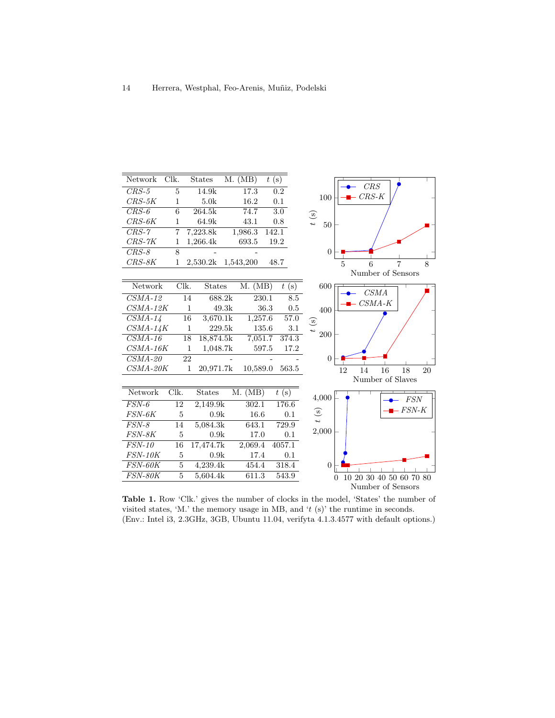

Table 1. Row 'Clk.' gives the number of clocks in the model, 'States' the number of visited states, 'M.' the memory usage in MB, and ' $t$  (s)' the runtime in seconds. (Env.: Intel i3, 2.3GHz, 3GB, Ubuntu 11.04, verifyta 4.1.3.4577 with default options.)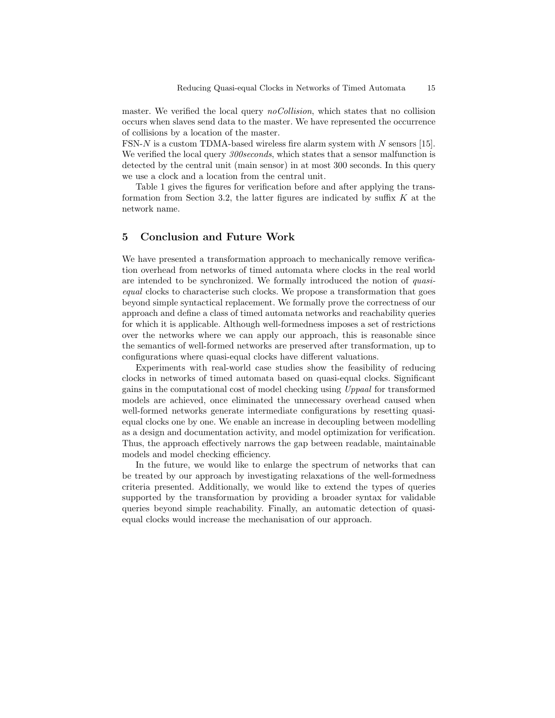master. We verified the local query *noCollision*, which states that no collision occurs when slaves send data to the master. We have represented the occurrence of collisions by a location of the master.

FSN-N is a custom TDMA-based wireless fire alarm system with N sensors [15]. We verified the local query 300seconds, which states that a sensor malfunction is detected by the central unit (main sensor) in at most 300 seconds. In this query we use a clock and a location from the central unit.

Table 1 gives the figures for verification before and after applying the transformation from Section 3.2, the latter figures are indicated by suffix  $K$  at the network name.

# 5 Conclusion and Future Work

We have presented a transformation approach to mechanically remove verification overhead from networks of timed automata where clocks in the real world are intended to be synchronized. We formally introduced the notion of quasiequal clocks to characterise such clocks. We propose a transformation that goes beyond simple syntactical replacement. We formally prove the correctness of our approach and define a class of timed automata networks and reachability queries for which it is applicable. Although well-formedness imposes a set of restrictions over the networks where we can apply our approach, this is reasonable since the semantics of well-formed networks are preserved after transformation, up to configurations where quasi-equal clocks have different valuations.

Experiments with real-world case studies show the feasibility of reducing clocks in networks of timed automata based on quasi-equal clocks. Significant gains in the computational cost of model checking using Uppaal for transformed models are achieved, once eliminated the unnecessary overhead caused when well-formed networks generate intermediate configurations by resetting quasiequal clocks one by one. We enable an increase in decoupling between modelling as a design and documentation activity, and model optimization for verification. Thus, the approach effectively narrows the gap between readable, maintainable models and model checking efficiency.

In the future, we would like to enlarge the spectrum of networks that can be treated by our approach by investigating relaxations of the well-formedness criteria presented. Additionally, we would like to extend the types of queries supported by the transformation by providing a broader syntax for validable queries beyond simple reachability. Finally, an automatic detection of quasiequal clocks would increase the mechanisation of our approach.